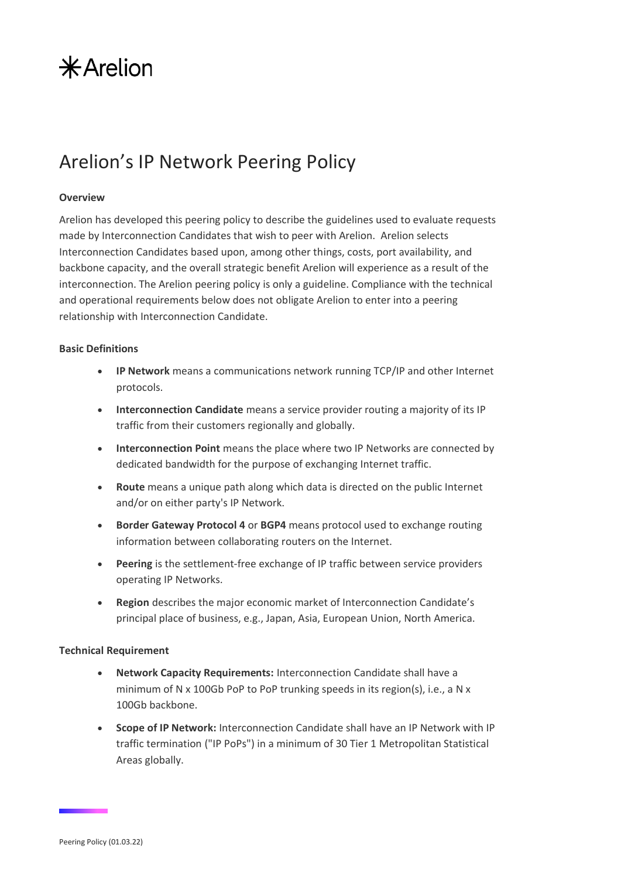# $*$ Arelion

### Arelion's IP Network Peering Policy

#### **Overview**

Arelion has developed this peering policy to describe the guidelines used to evaluate requests made by Interconnection Candidates that wish to peer with Arelion. Arelion selects Interconnection Candidates based upon, among other things, costs, port availability, and backbone capacity, and the overall strategic benefit Arelion will experience as a result of the interconnection. The Arelion peering policy is only a guideline. Compliance with the technical and operational requirements below does not obligate Arelion to enter into a peering relationship with Interconnection Candidate.

### **Basic Definitions**

- **IP Network** means a communications network running TCP/IP and other Internet protocols.
- **Interconnection Candidate** means a service provider routing a majority of its IP traffic from their customers regionally and globally.
- **Interconnection Point** means the place where two IP Networks are connected by dedicated bandwidth for the purpose of exchanging Internet traffic.
- **Route** means a unique path along which data is directed on the public Internet and/or on either party's IP Network.
- **Border Gateway Protocol 4** or **BGP4** means protocol used to exchange routing information between collaborating routers on the Internet.
- **Peering** is the settlement-free exchange of IP traffic between service providers operating IP Networks.
- **Region** describes the major economic market of Interconnection Candidate's principal place of business, e.g., Japan, Asia, European Union, North America.

### **Technical Requirement**

- **Network Capacity Requirements:** Interconnection Candidate shall have a minimum of N x 100Gb PoP to PoP trunking speeds in its region(s), i.e., a N x 100Gb backbone.
- **Scope of IP Network:** Interconnection Candidate shall have an IP Network with IP traffic termination ("IP PoPs") in a minimum of 30 Tier 1 Metropolitan Statistical Areas globally.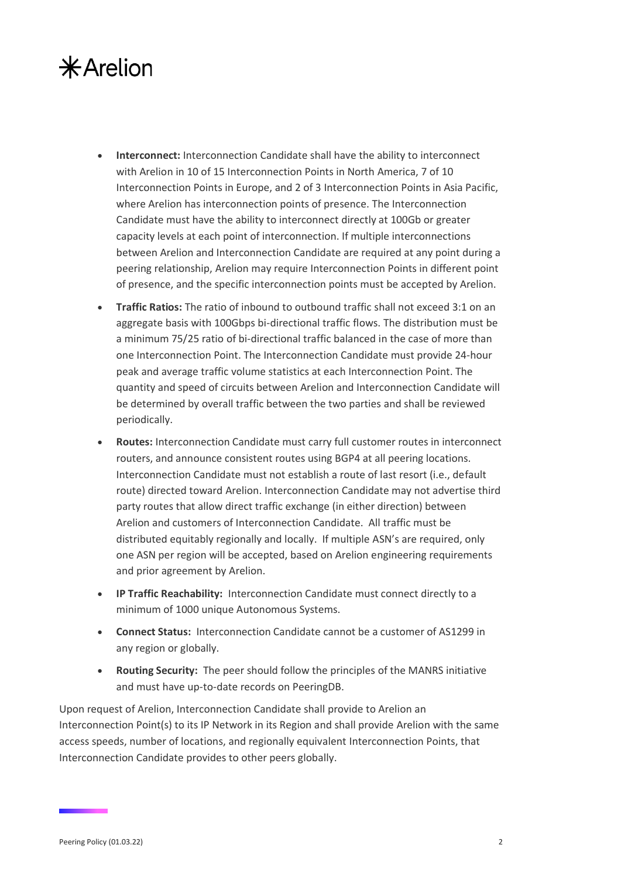### $*$ Arelion

- **Interconnect:** Interconnection Candidate shall have the ability to interconnect with Arelion in 10 of 15 Interconnection Points in North America, 7 of 10 Interconnection Points in Europe, and 2 of 3 Interconnection Points in Asia Pacific, where Arelion has interconnection points of presence. The Interconnection Candidate must have the ability to interconnect directly at 100Gb or greater capacity levels at each point of interconnection. If multiple interconnections between Arelion and Interconnection Candidate are required at any point during a peering relationship, Arelion may require Interconnection Points in different point of presence, and the specific interconnection points must be accepted by Arelion.
- **Traffic Ratios:** The ratio of inbound to outbound traffic shall not exceed 3:1 on an aggregate basis with 100Gbps bi-directional traffic flows. The distribution must be a minimum 75/25 ratio of bi-directional traffic balanced in the case of more than one Interconnection Point. The Interconnection Candidate must provide 24-hour peak and average traffic volume statistics at each Interconnection Point. The quantity and speed of circuits between Arelion and Interconnection Candidate will be determined by overall traffic between the two parties and shall be reviewed periodically.
- **Routes:** Interconnection Candidate must carry full customer routes in interconnect routers, and announce consistent routes using BGP4 at all peering locations. Interconnection Candidate must not establish a route of last resort (i.e., default route) directed toward Arelion. Interconnection Candidate may not advertise third party routes that allow direct traffic exchange (in either direction) between Arelion and customers of Interconnection Candidate. All traffic must be distributed equitably regionally and locally. If multiple ASN's are required, only one ASN per region will be accepted, based on Arelion engineering requirements and prior agreement by Arelion.
- **IP Traffic Reachability:** Interconnection Candidate must connect directly to a minimum of 1000 unique Autonomous Systems.
- **Connect Status:** Interconnection Candidate cannot be a customer of AS1299 in any region or globally.
- **Routing Security:** The peer should follow the principles of the MANRS initiative and must have up-to-date records on PeeringDB.

Upon request of Arelion, Interconnection Candidate shall provide to Arelion an Interconnection Point(s) to its IP Network in its Region and shall provide Arelion with the same access speeds, number of locations, and regionally equivalent Interconnection Points, that Interconnection Candidate provides to other peers globally.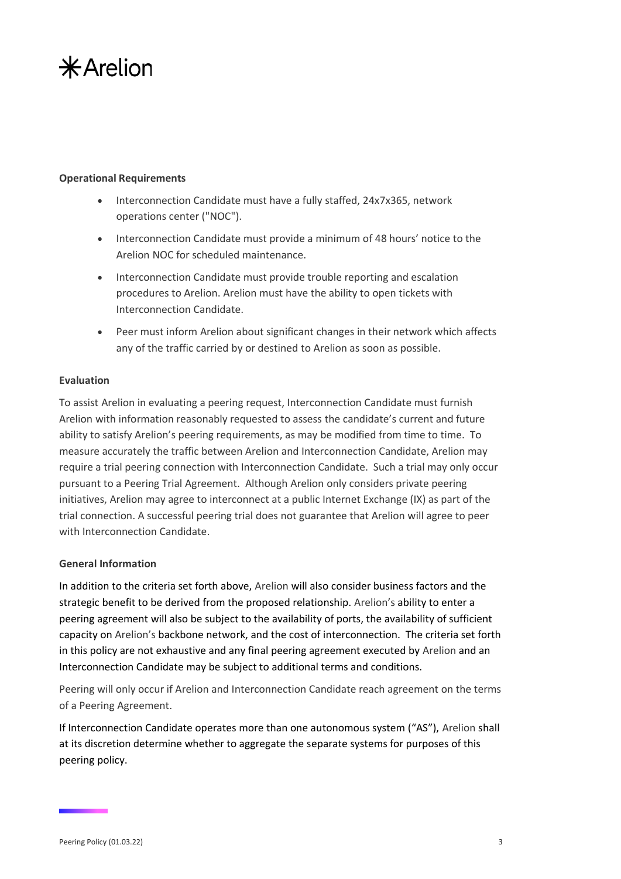## $*$ Arelion

### **Operational Requirements**

- Interconnection Candidate must have a fully staffed, 24x7x365, network operations center ("NOC").
- Interconnection Candidate must provide a minimum of 48 hours' notice to the Arelion NOC for scheduled maintenance.
- Interconnection Candidate must provide trouble reporting and escalation procedures to Arelion. Arelion must have the ability to open tickets with Interconnection Candidate.
- Peer must inform Arelion about significant changes in their network which affects any of the traffic carried by or destined to Arelion as soon as possible.

### **Evaluation**

To assist Arelion in evaluating a peering request, Interconnection Candidate must furnish Arelion with information reasonably requested to assess the candidate's current and future ability to satisfy Arelion's peering requirements, as may be modified from time to time. To measure accurately the traffic between Arelion and Interconnection Candidate, Arelion may require a trial peering connection with Interconnection Candidate. Such a trial may only occur pursuant to a Peering Trial Agreement. Although Arelion only considers private peering initiatives, Arelion may agree to interconnect at a public Internet Exchange (IX) as part of the trial connection. A successful peering trial does not guarantee that Arelion will agree to peer with Interconnection Candidate.

### **General Information**

In addition to the criteria set forth above, Arelion will also consider business factors and the strategic benefit to be derived from the proposed relationship. Arelion's ability to enter a peering agreement will also be subject to the availability of ports, the availability of sufficient capacity on Arelion's backbone network, and the cost of interconnection. The criteria set forth in this policy are not exhaustive and any final peering agreement executed by Arelion and an Interconnection Candidate may be subject to additional terms and conditions.

Peering will only occur if Arelion and Interconnection Candidate reach agreement on the terms of a Peering Agreement.

If Interconnection Candidate operates more than one autonomous system ("AS"), Arelion shall at its discretion determine whether to aggregate the separate systems for purposes of this peering policy.